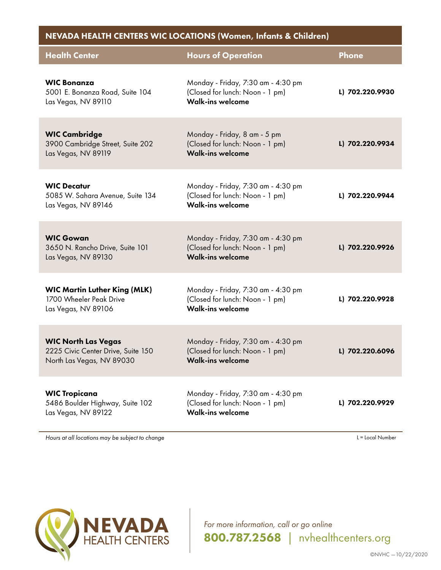| NEVADA HEALTH CENTERS WIC LOCATIONS (Women, Infants & Children)                               |                                                                                                  |                  |  |
|-----------------------------------------------------------------------------------------------|--------------------------------------------------------------------------------------------------|------------------|--|
| <b>Health Center</b>                                                                          | <b>Hours of Operation</b>                                                                        | <b>Phone</b>     |  |
| <b>WIC Bonanza</b><br>5001 E. Bonanza Road, Suite 104<br>Las Vegas, NV 89110                  | Monday - Friday, 7:30 am - 4:30 pm<br>(Closed for lunch: Noon - 1 pm)<br><b>Walk-ins welcome</b> | L) 702.220.9930  |  |
| <b>WIC Cambridge</b><br>3900 Cambridge Street, Suite 202<br>Las Vegas, NV 89119               | Monday - Friday, 8 am - 5 pm<br>(Closed for lunch: Noon - 1 pm)<br><b>Walk-ins welcome</b>       | L) 702.220.9934  |  |
| <b>WIC Decatur</b><br>5085 W. Sahara Avenue, Suite 134<br>Las Vegas, NV 89146                 | Monday - Friday, 7:30 am - 4:30 pm<br>(Closed for lunch: Noon - 1 pm)<br><b>Walk-ins welcome</b> | L) 702.220.9944  |  |
| <b>WIC Gowan</b><br>3650 N. Rancho Drive, Suite 101<br>Las Vegas, NV 89130                    | Monday - Friday, 7:30 am - 4:30 pm<br>(Closed for lunch: Noon - 1 pm)<br><b>Walk-ins welcome</b> | L) 702.220.9926  |  |
| <b>WIC Martin Luther King (MLK)</b><br>1700 Wheeler Peak Drive<br>Las Vegas, NV 89106         | Monday - Friday, 7:30 am - 4:30 pm<br>(Closed for lunch: Noon - 1 pm)<br><b>Walk-ins welcome</b> | L) 702.220.9928  |  |
| <b>WIC North Las Vegas</b><br>2225 Civic Center Drive, Suite 150<br>North Las Vegas, NV 89030 | Monday - Friday, 7:30 am - 4:30 pm<br>(Closed for lunch: Noon - 1 pm)<br><b>Walk-ins welcome</b> | L) 702.220.6096  |  |
| <b>WIC Tropicana</b><br>5486 Boulder Highway, Suite 102<br>Las Vegas, NV 89122                | Monday - Friday, 7:30 am - 4:30 pm<br>(Closed for lunch: Noon - 1 pm)<br><b>Walk-ins welcome</b> | L) 702.220.9929  |  |
| Hours at all locations may be subject to change                                               |                                                                                                  | L = Local Number |  |



*For more information, call or go online* 800.787.2568 *|* nvhealthcenters.org